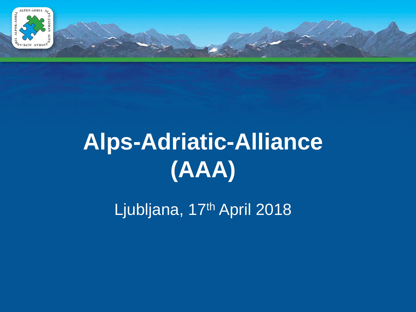

## **Alps-Adriatic-Alliance (AAA)**

Ljubljana, 17th April 2018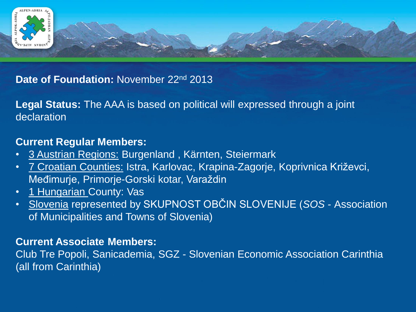

#### **Date of Foundation: November 22nd 2013**

**Legal Status:** The AAA is based on political will expressed through a joint declaration

#### **Current Regular Members:**

- 3 Austrian Regions: Burgenland , Kärnten, Steiermark
- 7 Croatian Counties: Istra, Karlovac, Krapina-Zagorje, Koprivnica Križevci, Međimurje, Primorje-Gorski kotar, Varaždin
- 1 Hungarian County: Vas
- Slovenia represented by SKUPNOST OBČIN SLOVENIJE (*SOS -* Association of Municipalities and Towns of Slovenia)

#### **Current Associate Members:**

Club Tre Popoli, Sanicademia, SGZ - Slovenian Economic Association Carinthia (all from Carinthia)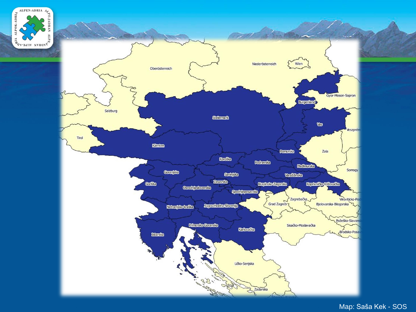



Map: Saša Kek - SOS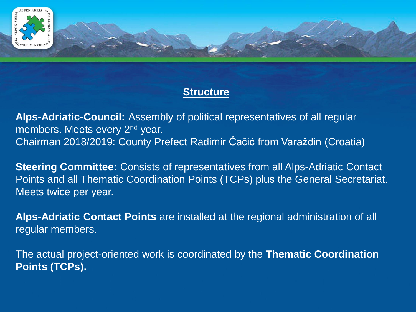

#### **Structure**

**Alps-Adriatic-Council:** Assembly of political representatives of all regular members. Meets every 2<sup>nd</sup> year. Chairman 2018/2019: County Prefect Radimir Čačić from Varaždin (Croatia)

**Steering Committee:** Consists of representatives from all Alps-Adriatic Contact Points and all Thematic Coordination Points (TCPs) plus the General Secretariat. Meets twice per year.

**Alps-Adriatic Contact Points** are installed at the regional administration of all regular members.

The actual project-oriented work is coordinated by the **Thematic Coordination Points (TCPs).**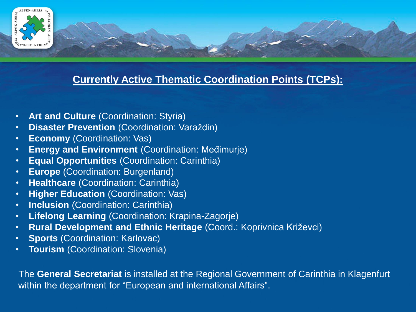

#### **Currently Active Thematic Coordination Points (TCPs):**

- **Art and Culture** (Coordination: Styria)
- **Disaster Prevention** (Coordination: Varaždin)
- **Economy (Coordination: Vas)**
- **Energy and Environment** (Coordination: Međimurje)
- **Equal Opportunities** (Coordination: Carinthia)
- **Europe** (Coordination: Burgenland)
- **Healthcare** (Coordination: Carinthia)
- **Higher Education** (Coordination: Vas)
- **Inclusion** (Coordination: Carinthia)
- **Lifelong Learning** (Coordination: Krapina-Zagorje)
- **Rural Development and Ethnic Heritage** (Coord.: Koprivnica Križevci)
- **Sports** (Coordination: Karlovac)
- **Tourism** (Coordination: Slovenia)

The **General Secretariat** is installed at the Regional Government of Carinthia in Klagenfurt within the department for "European and international Affairs".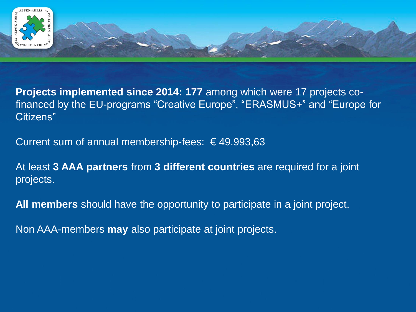

**Projects implemented since 2014: 177** among which were 17 projects cofinanced by the EU-programs "Creative Europe", "ERASMUS+" and "Europe for Citizens"

Current sum of annual membership-fees:  $\epsilon$  49.993,63

At least **3 AAA partners** from **3 different countries** are required for a joint projects.

**All members** should have the opportunity to participate in a joint project.

Non AAA-members **may** also participate at joint projects.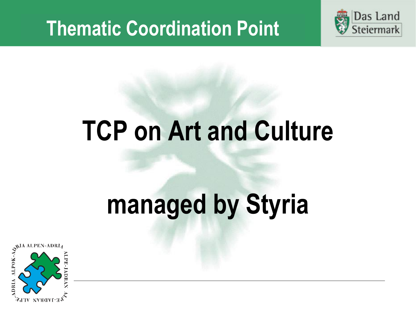

## **TCP on Art and Culture**

# **managed by Styria**

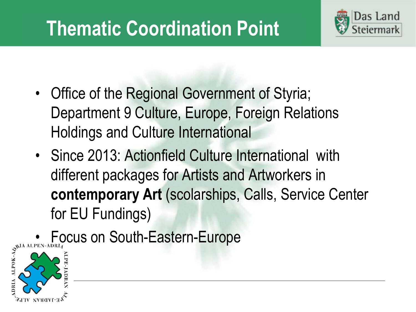

- Office of the Regional Government of Styria; Department 9 Culture, Europe, Foreign Relations Holdings and Culture International
- Since 2013: Actionfield Culture International with different packages for Artists and Artworkers in **contemporary Art** (scolarships, Calls, Service Center for EU Fundings)

 $\begin{array}{c}\n\bullet\quad\text{Focus on South-Eastern-Europe} \\
\downarrow^{\text{spia at PEN-ADRL4}}_{\text{spia}}\n\end{array}$ 

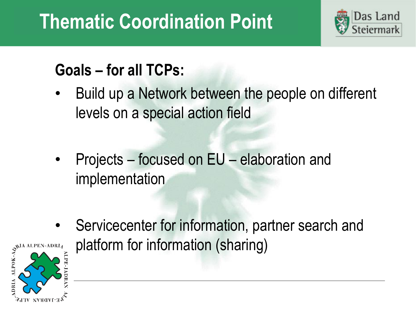

#### **Goals – for all TCPs:**

- Build up a Network between the people on different levels on a special action field
- Projects focused on EU elaboration and implementation



• Servicecenter for information, partner search and<br> $\sum_{\substack{S^{\text{NIA ALPEN-ADRL}}\\ \text{Eq.} \text{Eq.} \text{Eq.}}}$ platform for information (sharing)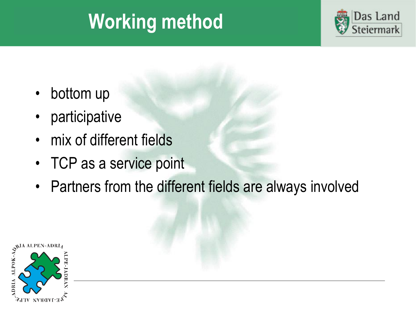### **Working method**



- bottom up
- **participative**
- mix of different fields
- TCP as a service point
- Partners from the different fields are always involved

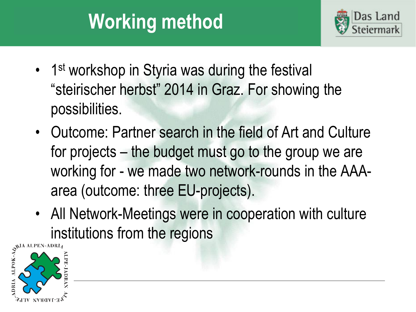### **Working method**



- 1<sup>st</sup> workshop in Styria was during the festival "steirischer herbst" 2014 in Graz. For showing the possibilities.
- Outcome: Partner search in the field of Art and Culture for projects – the budget must go to the group we are working for - we made two network-rounds in the AAAarea (outcome: three EU-projects).
- All Network-Meetings were in cooperation with culture  $\sum_{n=1}^{\infty}$  institutions from the regions

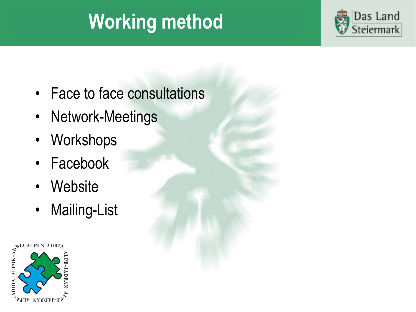### **Working method**



- Face to face consultations
- Network-Meetings
- Workshops
- Facebook
- Website
- Mailing-List

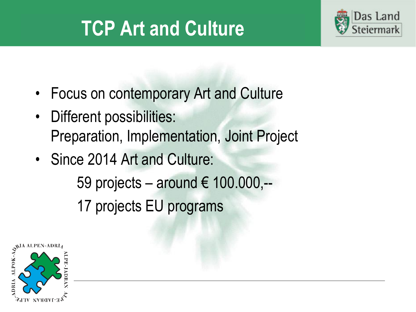### **TCP Art and Culture**



- Focus on contemporary Art and Culture
- Different possibilities: Preparation, Implementation, Joint Project
- Since 2014 Art and Culture:

59 projects – around € 100.000,-- 17 projects EU programs

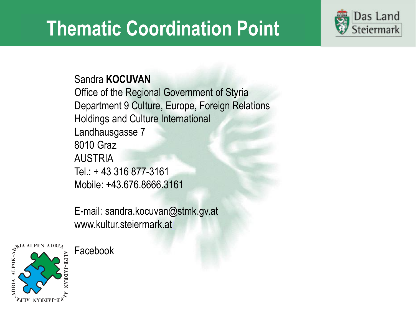

Sandra **KOCUVAN**

Office of the Regional Government of Styria Department 9 Culture, Europe, Foreign Relations Holdings and Culture International Landhausgasse 7 8010 Graz AUSTRIA Tel.: + 43 316 877-3161 Mobile: +43.676.8666.3161

E-mail: sandra.kocuvan@stmk.gv.at www.kultur.steiermark.at



Facebook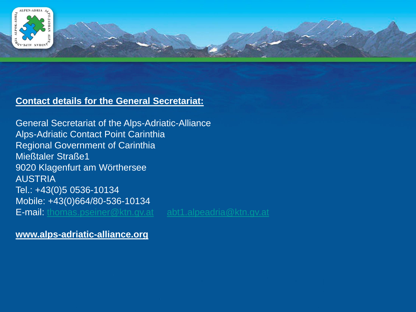

#### **Contact details for the General Secretariat:**

General Secretariat of the Alps-Adriatic-Alliance Alps-Adriatic Contact Point Carinthia Regional Government of Carinthia Mießtaler Straße1 9020 Klagenfurt am Wörthersee AUSTRIA Tel.: +43(0)5 0536-10134 Mobile: +43(0)664/80-536-10134 E-mail: [thomas.pseiner@ktn.gv.at](mailto:thomas.pseiner@ktn.gv.at) [abt1.alpeadria@ktn.gv.at](mailto:abt1.alpeadria@ktn.gv.at)

**www.alps-adriatic-alliance.org**